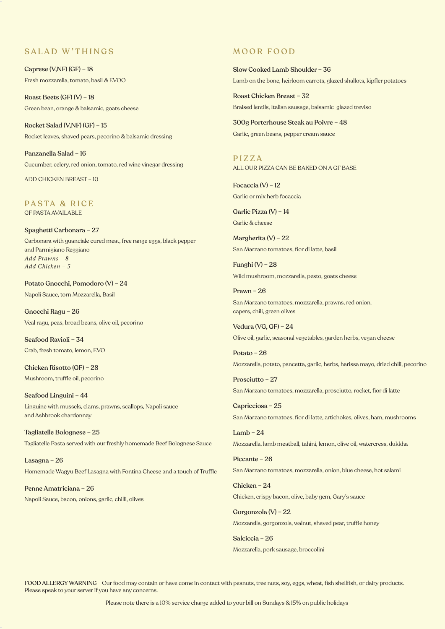## SALAD W'THINGS

Caprese (V,NF) (GF) – 18 Fresh mozzarella, tomato, basil & EVOO

Roast Beets (GF) (V) – 18 Green bean, orange & balsamic, goats cheese

Rocket Salad (V,NF) (GF) – 15 Rocket leaves, shaved pears, pecorino & balsamic dressing

Panzanella Salad – 16 Cucumber, celery, red onion, tomato, red wine vinegar dressing

ADD CHICKEN BREAST – 10

PASTA & RICE GF PASTA AVAILABLE

Spaghetti Carbonara – 27 Carbonara with guanciale cured meat, free range eggs, black pepper and Parmigiano Reggiano *Add Prawns – 8 Add Chicken – 5*

Potato Gnocchi, Pomodoro (V) – 24 Napoli Sauce, torn Mozzarella, Basil

Gnocchi Ragu – 26 Veal ragu, peas, broad beans, olive oil, pecorino

Seafood Ravioli – 34 Crab, fresh tomato, lemon, EVO

Chicken Risotto (GF) – 28 Mushroom, truffle oil, pecorino

Seafood Linguini – 44 Linguine with mussels, clams, prawns, scallops, Napoli sauce and Ashbrook chardonnay

Tagliatelle Bolognese – 25 Tagliatelle Pasta served with our freshly homemade Beef Bolognese Sauce

Lasagna – 26 Homemade Wagyu Beef Lasagna with Fontina Cheese and a touch of Truffle

Penne Amatriciana – 26 Napoli Sauce, bacon, onions, garlic, chilli, olives

## MOOR FOOD

Slow Cooked Lamb Shoulder – 36 Lamb on the bone, heirloom carrots, glazed shallots, kipfler potatoes

Roast Chicken Breast – 32 Braised lentils, Italian sausage, balsamic glazed treviso

300g Porterhouse Steak au Poivre – 48 Garlic, green beans, pepper cream sauce

PIZZA ALL OUR PIZZA CAN BE BAKED ON A GF BASE

Focaccia (V) – 12 Garlic or mix herb focaccia

Garlic Pizza (V) – 14 Garlic & cheese

Margherita (V) – 22 San Marzano tomatoes, fior di latte, basil

Funghi (V) – 28 Wild mushroom, mozzarella, pesto, goats cheese

Prawn – 26 San Marzano tomatoes, mozzarella, prawns, red onion, capers, chili, green olives

Vedura (VG, GF) – 24 Olive oil, garlic, seasonal vegetables, garden herbs, vegan cheese

Potato – 26 Mozzarella, potato, pancetta, garlic, herbs, harissa mayo, dried chili, pecorino

Prosciutto – 27 San Marzano tomatoes, mozzarella, prosciutto, rocket, fior di latte

Capricciosa – 25 San Marzano tomatoes, fior di latte, artichokes, olives, ham, mushrooms

Lamb –  $24$ Mozzarella, lamb meatball, tahini, lemon, olive oil, watercress, dukkha

Piccante – 26 San Marzano tomatoes, mozzarella, onion, blue cheese, hot salami

Chicken – 24 Chicken, crispy bacon, olive, baby gem, Gary's sauce

Gorgonzola (V) – 22 Mozzarella, gorgonzola, walnut, shaved pear, truffle honey

Salciccia – 26 Mozzarella, pork sausage, broccolini

FOOD ALLERGY WARNING - Our food may contain or have come in contact with peanuts, tree nuts, soy, eggs, wheat, fish shellfish, or dairy products. Please speak to your server if you have any concerns.